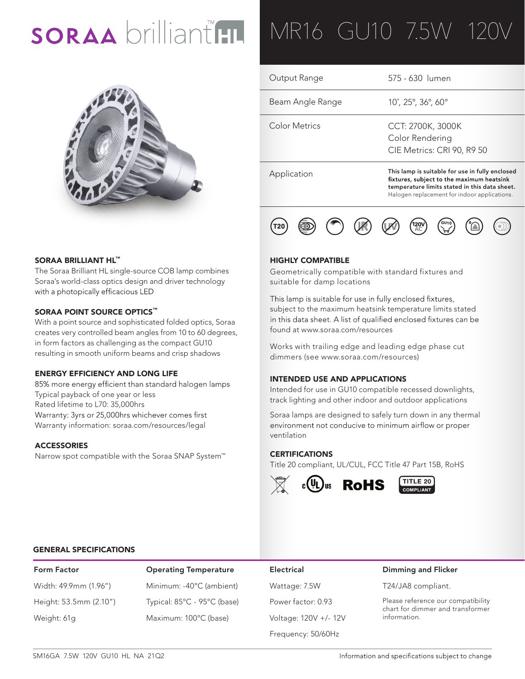# SORAA brilliant HL



#### SORAA BRILLIANT HL™

The Soraa Brilliant HL single-source COB lamp combines Soraa's world-class optics design and driver technology with a photopically efficacious LED

#### SORAA POINT SOURCE OPTICS™

With a point source and sophisticated folded optics, Soraa creates very controlled beam angles from 10 to 60 degrees, in form factors as challenging as the compact GU10 resulting in smooth uniform beams and crisp shadows

#### ENERGY EFFICIENCY AND LONG LIFE

85% more energy efficient than standard halogen lamps Typical payback of one year or less Rated lifetime to L70: 35,000hrs Warranty: 3yrs or 25,000hrs whichever comes first Warranty information: soraa.com/resources/legal

#### **ACCESSORIES**

Narrow spot compatible with the Soraa SNAP System™

## MR16 GU10 7.5W 120

| Application      | This lamp is suitable for use in fully enclosed<br>fixtures, subject to the maximum heatsink |
|------------------|----------------------------------------------------------------------------------------------|
| Color Metrics    | CCT: 2700K, 3000K<br>Color Rendering<br>CIE Metrics: CRI 90, R9 50                           |
| Beam Angle Range | 10°, 25°, 36°, 60°                                                                           |
| Output Range     | 575 - 630 lumen                                                                              |

temperature limits stated in this data sheet. Halogen replacement for indoor applications.



#### HIGHLY COMPATIBLE

Geometrically compatible with standard fixtures and suitable for damp locations

This lamp is suitable for use in fully enclosed fixtures, subject to the maximum heatsink temperature limits stated in this data sheet. A list of qualified enclosed fixtures can be found at www.soraa.com/resources

Works with trailing edge and leading edge phase cut dimmers (see www.soraa.com/resources)

#### INTENDED USE AND APPLICATIONS

Intended for use in GU10 compatible recessed downlights, track lighting and other indoor and outdoor applications

Soraa lamps are designed to safely turn down in any thermal environment not conducive to minimum airflow or proper ventilation

#### **CERTIFICATIONS**

Title 20 compliant, UL/CUL, FCC Title 47 Part 15B, RoHS



### $TITLE 20$

#### GENERAL SPECIFICATIONS

| Form Factor            |  |  |  |  |  |  |  |
|------------------------|--|--|--|--|--|--|--|
| Width: 49.9mm (1.96")  |  |  |  |  |  |  |  |
| Height: 53.5mm (2.10") |  |  |  |  |  |  |  |
| Weight: 61g            |  |  |  |  |  |  |  |

Operating Temperature **Electrical** Minimum: -40°C (ambient) Wattage: 7.5W Typical: 85°C - 95°C (base) Power factor: 0.93 Maximum: 100°C (base) Voltage: 120V +/- 12V

Frequency: 50/60Hz

#### Dimming and Flicker

T24/JA8 compliant.

Please reference our compatibility chart for dimmer and transformer information.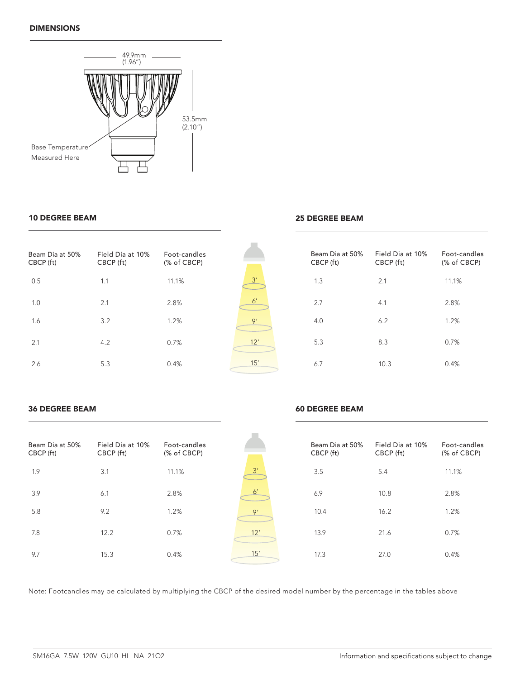#### DIMENSIONS



#### 10 DEGREE BEAM

### Beam Dia at 50% CBCP (ft) Field Dia at 10% CBCP (ft) Foot-candles (% of CBCP) 0.5 1.1 11.1% 1.0 2.1 2.8% 1.6 3.2 1.2% 2.1 4.2 0.7% 2.6 5.3 0.4%



#### 25 DEGREE BEAM

| Beam Dia at 50%<br>CBCP (ft) | Field Dia at 10%<br>CBCP (ft) | Foot-candles<br>(% of CBCP) |
|------------------------------|-------------------------------|-----------------------------|
| 1.3                          | 2.1                           | 11.1%                       |
| 2.7                          | 4.1                           | 2.8%                        |
| 4.0                          | 6.2                           | 1.2%                        |
| 5.3                          | 8.3                           | 0.7%                        |
| 6.7                          | 10.3                          | 0.4%                        |

#### 36 DEGREE BEAM

#### 60 DEGREE BEAM

| Beam Dia at 50%<br>CBCP (ft) | Field Dia at 10%<br>CBCP (ft) | Foot-candles<br>(% of CBCP) |                | Beam Dia at 50%<br>CBCP (ft) | Field Dia at 10%<br>CBCP (ft) | Foot-candles<br>(% of CBCP) |
|------------------------------|-------------------------------|-----------------------------|----------------|------------------------------|-------------------------------|-----------------------------|
| 1.9                          | 3.1                           | 11.1%                       | 3'             | 3.5                          | 5.4                           | 11.1%                       |
| 3.9                          | 6.1                           | 2.8%                        | 6 <sup>'</sup> | 6.9                          | 10.8                          | 2.8%                        |
| 5.8                          | 9.2                           | 1.2%                        | 9'             | 10.4                         | 16.2                          | 1.2%                        |
| 7.8                          | 12.2                          | 0.7%                        | 12'            | 13.9                         | 21.6                          | 0.7%                        |
| 9.7                          | 15.3                          | 0.4%                        | 15'            | 17.3                         | 27.0                          | 0.4%                        |

Note: Footcandles may be calculated by multiplying the CBCP of the desired model number by the percentage in the tables above